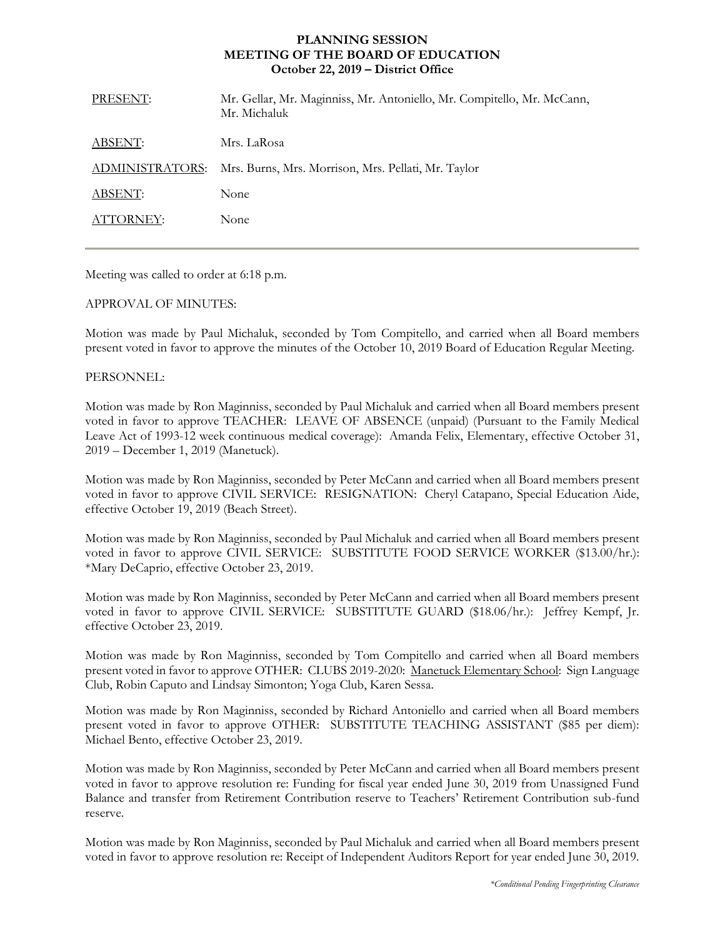## **PLANNING SESSION MEETING OF THE BOARD OF EDUCATION October 22, 2019 – District Office**

| PRESENT:        | Mr. Gellar, Mr. Maginniss, Mr. Antoniello, Mr. Compitello, Mr. McCann,<br>Mr. Michaluk |
|-----------------|----------------------------------------------------------------------------------------|
| ABSENT:         | Mrs. LaRosa                                                                            |
| ADMINISTRATORS: | Mrs. Burns, Mrs. Morrison, Mrs. Pellati, Mr. Taylor                                    |
| ABSENT:         | None                                                                                   |
| ATTORNEY:       | None                                                                                   |
|                 |                                                                                        |

Meeting was called to order at 6:18 p.m.

## APPROVAL OF MINUTES:

Motion was made by Paul Michaluk, seconded by Tom Compitello, and carried when all Board members present voted in favor to approve the minutes of the October 10, 2019 Board of Education Regular Meeting.

## PERSONNEL:

Motion was made by Ron Maginniss, seconded by Paul Michaluk and carried when all Board members present voted in favor to approve TEACHER: LEAVE OF ABSENCE (unpaid) (Pursuant to the Family Medical Leave Act of 1993-12 week continuous medical coverage): Amanda Felix, Elementary, effective October 31, 2019 – December 1, 2019 (Manetuck).

Motion was made by Ron Maginniss, seconded by Peter McCann and carried when all Board members present voted in favor to approve CIVIL SERVICE: RESIGNATION: Cheryl Catapano, Special Education Aide, effective October 19, 2019 (Beach Street).

Motion was made by Ron Maginniss, seconded by Paul Michaluk and carried when all Board members present voted in favor to approve CIVIL SERVICE: SUBSTITUTE FOOD SERVICE WORKER (\$13.00/hr.): \*Mary DeCaprio, effective October 23, 2019.

Motion was made by Ron Maginniss, seconded by Peter McCann and carried when all Board members present voted in favor to approve CIVIL SERVICE: SUBSTITUTE GUARD (\$18.06/hr.): Jeffrey Kempf, Jr. effective October 23, 2019.

Motion was made by Ron Maginniss, seconded by Tom Compitello and carried when all Board members present voted in favor to approve OTHER: CLUBS 2019-2020: Manetuck Elementary School: Sign Language Club, Robin Caputo and Lindsay Simonton; Yoga Club, Karen Sessa.

Motion was made by Ron Maginniss, seconded by Richard Antoniello and carried when all Board members present voted in favor to approve OTHER: SUBSTITUTE TEACHING ASSISTANT (\$85 per diem): Michael Bento, effective October 23, 2019.

Motion was made by Ron Maginniss, seconded by Peter McCann and carried when all Board members present voted in favor to approve resolution re: Funding for fiscal year ended June 30, 2019 from Unassigned Fund Balance and transfer from Retirement Contribution reserve to Teachers' Retirement Contribution sub-fund reserve.

Motion was made by Ron Maginniss, seconded by Paul Michaluk and carried when all Board members present voted in favor to approve resolution re: Receipt of Independent Auditors Report for year ended June 30, 2019.